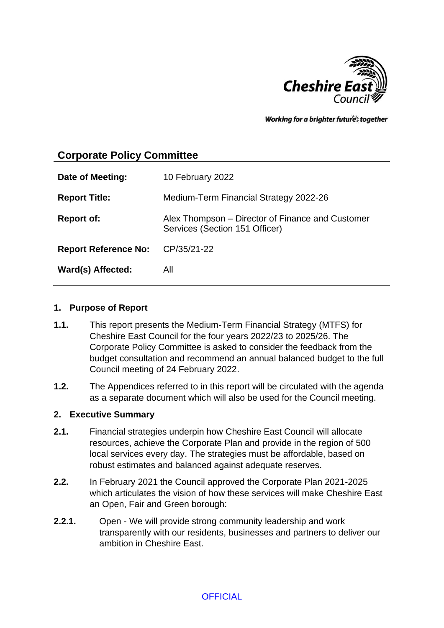

Working for a brighter futures together

# **Corporate Policy Committee**

| Date of Meeting:            | 10 February 2022                                                                   |
|-----------------------------|------------------------------------------------------------------------------------|
| <b>Report Title:</b>        | Medium-Term Financial Strategy 2022-26                                             |
| <b>Report of:</b>           | Alex Thompson – Director of Finance and Customer<br>Services (Section 151 Officer) |
| <b>Report Reference No:</b> | CP/35/21-22                                                                        |
| Ward(s) Affected:           | All                                                                                |

#### **1. Purpose of Report**

- **1.1.** This report presents the Medium-Term Financial Strategy (MTFS) for Cheshire East Council for the four years 2022/23 to 2025/26. The Corporate Policy Committee is asked to consider the feedback from the budget consultation and recommend an annual balanced budget to the full Council meeting of 24 February 2022.
- **1.2.** The Appendices referred to in this report will be circulated with the agenda as a separate document which will also be used for the Council meeting.

#### **2. Executive Summary**

- **2.1.** Financial strategies underpin how Cheshire East Council will allocate resources, achieve the Corporate Plan and provide in the region of 500 local services every day. The strategies must be affordable, based on robust estimates and balanced against adequate reserves.
- **2.2.** In February 2021 the Council approved the Corporate Plan 2021-2025 which articulates the vision of how these services will make Cheshire East an Open, Fair and Green borough:
- **2.2.1.** Open We will provide strong community leadership and work transparently with our residents, businesses and partners to deliver our ambition in Cheshire East.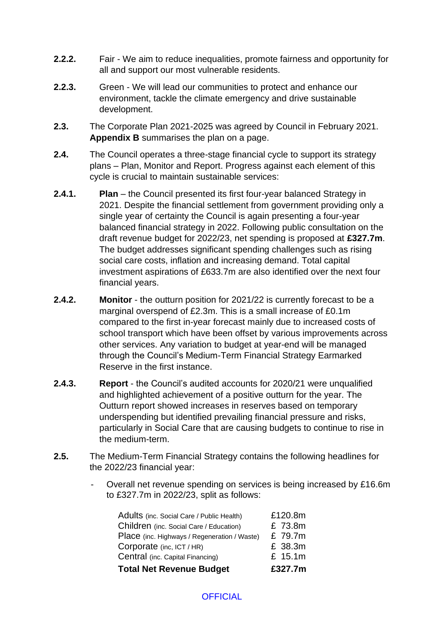- **2.2.2.** Fair We aim to reduce inequalities, promote fairness and opportunity for all and support our most vulnerable residents.
- **2.2.3.** Green We will lead our communities to protect and enhance our environment, tackle the climate emergency and drive sustainable development.
- **2.3.** The Corporate Plan 2021-2025 was agreed by Council in February 2021. **Appendix B** summarises the plan on a page.
- **2.4.** The Council operates a three-stage financial cycle to support its strategy plans – Plan, Monitor and Report. Progress against each element of this cycle is crucial to maintain sustainable services:
- **2.4.1. Plan** the Council presented its first four-year balanced Strategy in 2021. Despite the financial settlement from government providing only a single year of certainty the Council is again presenting a four-year balanced financial strategy in 2022. Following public consultation on the draft revenue budget for 2022/23, net spending is proposed at **£327.7m**. The budget addresses significant spending challenges such as rising social care costs, inflation and increasing demand. Total capital investment aspirations of £633.7m are also identified over the next four financial years.
- **2.4.2. Monitor** the outturn position for 2021/22 is currently forecast to be a marginal overspend of £2.3m. This is a small increase of £0.1m compared to the first in-year forecast mainly due to increased costs of school transport which have been offset by various improvements across other services. Any variation to budget at year-end will be managed through the Council's Medium-Term Financial Strategy Earmarked Reserve in the first instance.
- **2.4.3. Report** the Council's audited accounts for 2020/21 were unqualified and highlighted achievement of a positive outturn for the year. The Outturn report showed increases in reserves based on temporary underspending but identified prevailing financial pressure and risks, particularly in Social Care that are causing budgets to continue to rise in the medium-term.
- **2.5.** The Medium-Term Financial Strategy contains the following headlines for the 2022/23 financial year:
	- Overall net revenue spending on services is being increased by £16.6m to £327.7m in 2022/23, split as follows:

| <b>Total Net Revenue Budget</b>              | £327.7m |
|----------------------------------------------|---------|
| Central (inc. Capital Financing)             | £ 15.1m |
| Corporate (inc, ICT / HR)                    | £ 38.3m |
| Place (inc. Highways / Regeneration / Waste) | £ 79.7m |
| Children (inc. Social Care / Education)      | £ 73.8m |
| Adults (inc. Social Care / Public Health)    | £120.8m |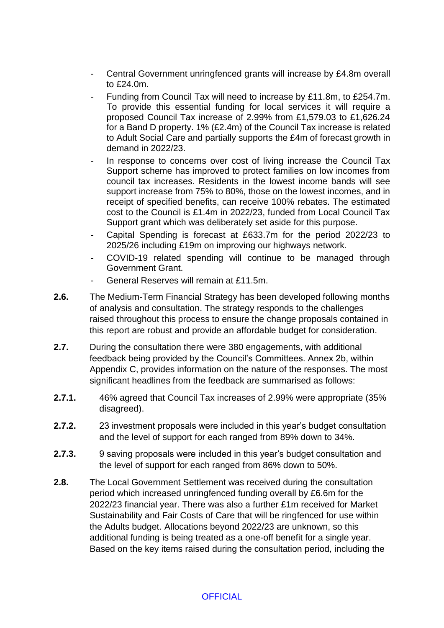- Central Government unringfenced grants will increase by £4.8m overall to £24.0m.
- Funding from Council Tax will need to increase by £11.8m, to £254.7m. To provide this essential funding for local services it will require a proposed Council Tax increase of 2.99% from £1,579.03 to £1,626.24 for a Band D property. 1% (£2.4m) of the Council Tax increase is related to Adult Social Care and partially supports the £4m of forecast growth in demand in 2022/23.
- In response to concerns over cost of living increase the Council Tax Support scheme has improved to protect families on low incomes from council tax increases. Residents in the lowest income bands will see support increase from 75% to 80%, those on the lowest incomes, and in receipt of specified benefits, can receive 100% rebates. The estimated cost to the Council is £1.4m in 2022/23, funded from Local Council Tax Support grant which was deliberately set aside for this purpose.
- Capital Spending is forecast at £633.7m for the period 2022/23 to 2025/26 including £19m on improving our highways network.
- COVID-19 related spending will continue to be managed through Government Grant.
- General Reserves will remain at £11.5m.
- **2.6.** The Medium-Term Financial Strategy has been developed following months of analysis and consultation. The strategy responds to the challenges raised throughout this process to ensure the change proposals contained in this report are robust and provide an affordable budget for consideration.
- **2.7.** During the consultation there were 380 engagements, with additional feedback being provided by the Council's Committees. Annex 2b, within Appendix C, provides information on the nature of the responses. The most significant headlines from the feedback are summarised as follows:
- **2.7.1.** 46% agreed that Council Tax increases of 2.99% were appropriate (35% disagreed).
- **2.7.2.** 23 investment proposals were included in this year's budget consultation and the level of support for each ranged from 89% down to 34%.
- **2.7.3.** 9 saving proposals were included in this year's budget consultation and the level of support for each ranged from 86% down to 50%.
- **2.8.** The Local Government Settlement was received during the consultation period which increased unringfenced funding overall by £6.6m for the 2022/23 financial year. There was also a further £1m received for Market Sustainability and Fair Costs of Care that will be ringfenced for use within the Adults budget. Allocations beyond 2022/23 are unknown, so this additional funding is being treated as a one-off benefit for a single year. Based on the key items raised during the consultation period, including the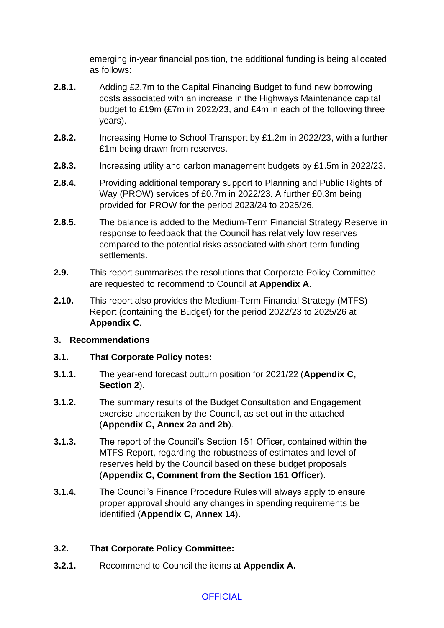emerging in-year financial position, the additional funding is being allocated as follows:

- **2.8.1.** Adding £2.7m to the Capital Financing Budget to fund new borrowing costs associated with an increase in the Highways Maintenance capital budget to £19m (£7m in 2022/23, and £4m in each of the following three years).
- **2.8.2.** Increasing Home to School Transport by £1.2m in 2022/23, with a further £1m being drawn from reserves.
- **2.8.3.** Increasing utility and carbon management budgets by £1.5m in 2022/23.
- **2.8.4.** Providing additional temporary support to Planning and Public Rights of Way (PROW) services of £0.7m in 2022/23. A further £0.3m being provided for PROW for the period 2023/24 to 2025/26.
- **2.8.5.** The balance is added to the Medium-Term Financial Strategy Reserve in response to feedback that the Council has relatively low reserves compared to the potential risks associated with short term funding settlements.
- **2.9.** This report summarises the resolutions that Corporate Policy Committee are requested to recommend to Council at **Appendix A**.
- **2.10.** This report also provides the Medium-Term Financial Strategy (MTFS) Report (containing the Budget) for the period 2022/23 to 2025/26 at **Appendix C**.

## **3. Recommendations**

## **3.1. That Corporate Policy notes:**

- **3.1.1.** The year-end forecast outturn position for 2021/22 (**Appendix C, Section 2**).
- **3.1.2.** The summary results of the Budget Consultation and Engagement exercise undertaken by the Council, as set out in the attached (**Appendix C, Annex 2a and 2b**).
- **3.1.3.** The report of the Council's Section 151 Officer, contained within the MTFS Report, regarding the robustness of estimates and level of reserves held by the Council based on these budget proposals (**Appendix C, Comment from the Section 151 Officer**).
- **3.1.4.** The Council's Finance Procedure Rules will always apply to ensure proper approval should any changes in spending requirements be identified (**Appendix C, Annex 14**).

## **3.2. That Corporate Policy Committee:**

**3.2.1.** Recommend to Council the items at **Appendix A.**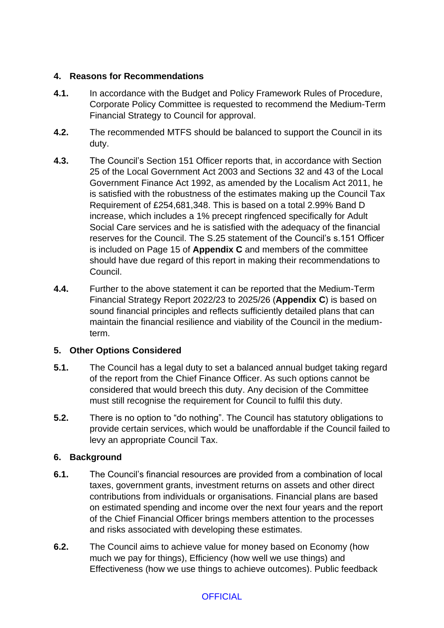## **4. Reasons for Recommendations**

- **4.1.** In accordance with the Budget and Policy Framework Rules of Procedure, Corporate Policy Committee is requested to recommend the Medium-Term Financial Strategy to Council for approval.
- **4.2.** The recommended MTFS should be balanced to support the Council in its duty.
- **4.3.** The Council's Section 151 Officer reports that, in accordance with Section 25 of the Local Government Act 2003 and Sections 32 and 43 of the Local Government Finance Act 1992, as amended by the Localism Act 2011, he is satisfied with the robustness of the estimates making up the Council Tax Requirement of £254,681,348. This is based on a total 2.99% Band D increase, which includes a 1% precept ringfenced specifically for Adult Social Care services and he is satisfied with the adequacy of the financial reserves for the Council. The S.25 statement of the Council's s.151 Officer is included on Page 15 of **Appendix C** and members of the committee should have due regard of this report in making their recommendations to Council.
- **4.4.** Further to the above statement it can be reported that the Medium-Term Financial Strategy Report 2022/23 to 2025/26 (**Appendix C**) is based on sound financial principles and reflects sufficiently detailed plans that can maintain the financial resilience and viability of the Council in the mediumterm.

# **5. Other Options Considered**

- **5.1.** The Council has a legal duty to set a balanced annual budget taking regard of the report from the Chief Finance Officer. As such options cannot be considered that would breech this duty. Any decision of the Committee must still recognise the requirement for Council to fulfil this duty.
- **5.2.** There is no option to "do nothing". The Council has statutory obligations to provide certain services, which would be unaffordable if the Council failed to levy an appropriate Council Tax.

# **6. Background**

- **6.1.** The Council's financial resources are provided from a combination of local taxes, government grants, investment returns on assets and other direct contributions from individuals or organisations. Financial plans are based on estimated spending and income over the next four years and the report of the Chief Financial Officer brings members attention to the processes and risks associated with developing these estimates.
- **6.2.** The Council aims to achieve value for money based on Economy (how much we pay for things), Efficiency (how well we use things) and Effectiveness (how we use things to achieve outcomes). Public feedback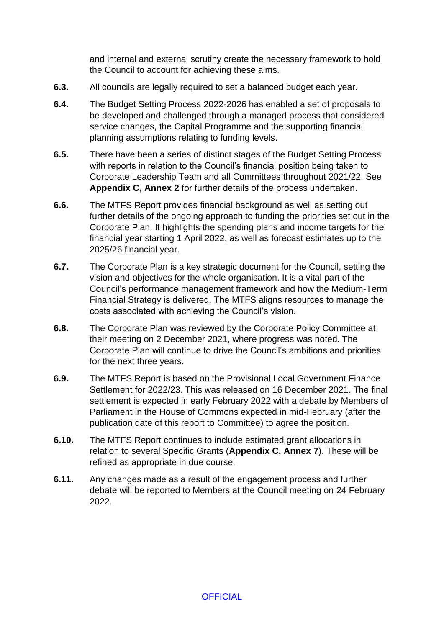and internal and external scrutiny create the necessary framework to hold the Council to account for achieving these aims.

- **6.3.** All councils are legally required to set a balanced budget each year.
- **6.4.** The Budget Setting Process 2022-2026 has enabled a set of proposals to be developed and challenged through a managed process that considered service changes, the Capital Programme and the supporting financial planning assumptions relating to funding levels.
- **6.5.** There have been a series of distinct stages of the Budget Setting Process with reports in relation to the Council's financial position being taken to Corporate Leadership Team and all Committees throughout 2021/22. See **Appendix C, Annex 2** for further details of the process undertaken.
- **6.6.** The MTFS Report provides financial background as well as setting out further details of the ongoing approach to funding the priorities set out in the Corporate Plan. It highlights the spending plans and income targets for the financial year starting 1 April 2022, as well as forecast estimates up to the 2025/26 financial year.
- **6.7.** The Corporate Plan is a key strategic document for the Council, setting the vision and objectives for the whole organisation. It is a vital part of the Council's performance management framework and how the Medium-Term Financial Strategy is delivered. The MTFS aligns resources to manage the costs associated with achieving the Council's vision.
- **6.8.** The Corporate Plan was reviewed by the Corporate Policy Committee at their meeting on 2 December 2021, where progress was noted. The Corporate Plan will continue to drive the Council's ambitions and priorities for the next three years.
- **6.9.** The MTFS Report is based on the Provisional Local Government Finance Settlement for 2022/23. This was released on 16 December 2021. The final settlement is expected in early February 2022 with a debate by Members of Parliament in the House of Commons expected in mid-February (after the publication date of this report to Committee) to agree the position.
- **6.10.** The MTFS Report continues to include estimated grant allocations in relation to several Specific Grants (**Appendix C, Annex 7**). These will be refined as appropriate in due course.
- **6.11.** Any changes made as a result of the engagement process and further debate will be reported to Members at the Council meeting on 24 February 2022.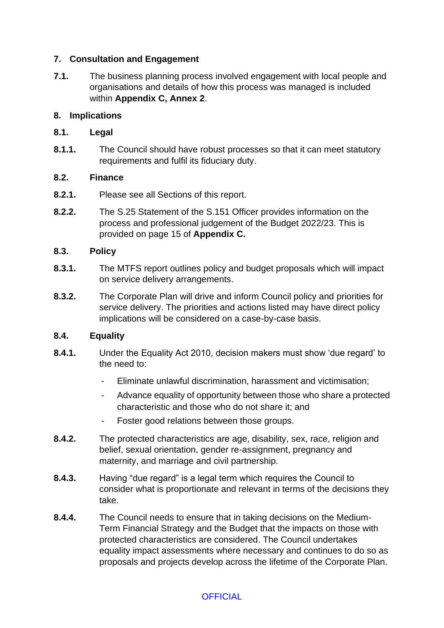### **7. Consultation and Engagement**

**7.1.** The business planning process involved engagement with local people and organisations and details of how this process was managed is included within **Appendix C, Annex 2**.

### **8. Implications**

#### **8.1. Legal**

**8.1.1.** The Council should have robust processes so that it can meet statutory requirements and fulfil its fiduciary duty.

#### **8.2. Finance**

- **8.2.1.** Please see all Sections of this report.
- **8.2.2.** The S.25 Statement of the S.151 Officer provides information on the process and professional judgement of the Budget 2022/23. This is provided on page 15 of **Appendix C.**

#### **8.3. Policy**

- **8.3.1.** The MTFS report outlines policy and budget proposals which will impact on service delivery arrangements.
- **8.3.2.** The Corporate Plan will drive and inform Council policy and priorities for service delivery. The priorities and actions listed may have direct policy implications will be considered on a case-by-case basis.

#### **8.4. Equality**

- **8.4.1.** Under the Equality Act 2010, decision makers must show 'due regard' to the need to:
	- Eliminate unlawful discrimination, harassment and victimisation;
	- Advance equality of opportunity between those who share a protected characteristic and those who do not share it; and
	- Foster good relations between those groups.
- **8.4.2.** The protected characteristics are age, disability, sex, race, religion and belief, sexual orientation, gender re-assignment, pregnancy and maternity, and marriage and civil partnership.
- **8.4.3.** Having "due regard" is a legal term which requires the Council to consider what is proportionate and relevant in terms of the decisions they take.
- **8.4.4.** The Council needs to ensure that in taking decisions on the Medium-Term Financial Strategy and the Budget that the impacts on those with protected characteristics are considered. The Council undertakes equality impact assessments where necessary and continues to do so as proposals and projects develop across the lifetime of the Corporate Plan.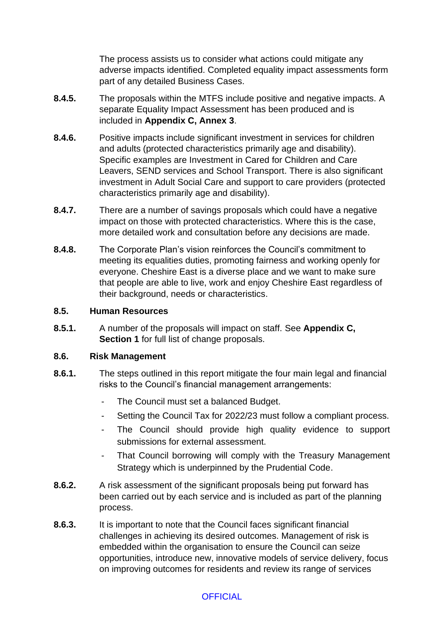The process assists us to consider what actions could mitigate any adverse impacts identified. Completed equality impact assessments form part of any detailed Business Cases.

- **8.4.5.** The proposals within the MTFS include positive and negative impacts. A separate Equality Impact Assessment has been produced and is included in **Appendix C, Annex 3**.
- **8.4.6.** Positive impacts include significant investment in services for children and adults (protected characteristics primarily age and disability). Specific examples are Investment in Cared for Children and Care Leavers, SEND services and School Transport. There is also significant investment in Adult Social Care and support to care providers (protected characteristics primarily age and disability).
- **8.4.7.** There are a number of savings proposals which could have a negative impact on those with protected characteristics. Where this is the case, more detailed work and consultation before any decisions are made.
- **8.4.8.** The Corporate Plan's vision reinforces the Council's commitment to meeting its equalities duties, promoting fairness and working openly for everyone. Cheshire East is a diverse place and we want to make sure that people are able to live, work and enjoy Cheshire East regardless of their background, needs or characteristics.

#### **8.5. Human Resources**

**8.5.1.** A number of the proposals will impact on staff. See **Appendix C, Section 1** for full list of change proposals.

#### **8.6. Risk Management**

- **8.6.1.** The steps outlined in this report mitigate the four main legal and financial risks to the Council's financial management arrangements:
	- The Council must set a balanced Budget.
	- Setting the Council Tax for 2022/23 must follow a compliant process.
	- The Council should provide high quality evidence to support submissions for external assessment.
	- That Council borrowing will comply with the Treasury Management Strategy which is underpinned by the Prudential Code.
- **8.6.2.** A risk assessment of the significant proposals being put forward has been carried out by each service and is included as part of the planning process.
- **8.6.3.** It is important to note that the Council faces significant financial challenges in achieving its desired outcomes. Management of risk is embedded within the organisation to ensure the Council can seize opportunities, introduce new, innovative models of service delivery, focus on improving outcomes for residents and review its range of services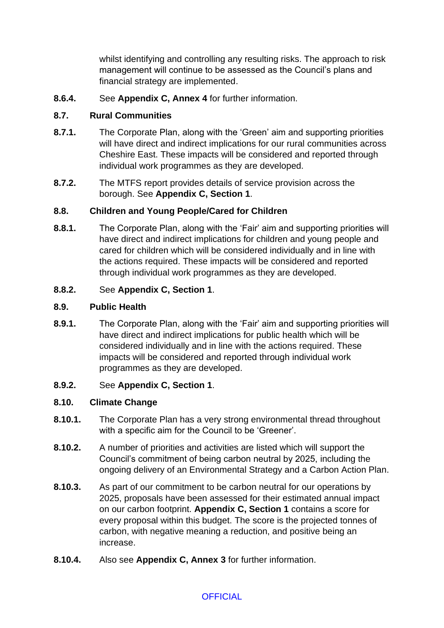whilst identifying and controlling any resulting risks. The approach to risk management will continue to be assessed as the Council's plans and financial strategy are implemented.

**8.6.4.** See **Appendix C, Annex 4** for further information.

## **8.7. Rural Communities**

- **8.7.1.** The Corporate Plan, along with the 'Green' aim and supporting priorities will have direct and indirect implications for our rural communities across Cheshire East. These impacts will be considered and reported through individual work programmes as they are developed.
- **8.7.2.** The MTFS report provides details of service provision across the borough. See **Appendix C, Section 1**.

## **8.8. Children and Young People/Cared for Children**

**8.8.1.** The Corporate Plan, along with the 'Fair' aim and supporting priorities will have direct and indirect implications for children and young people and cared for children which will be considered individually and in line with the actions required. These impacts will be considered and reported through individual work programmes as they are developed.

## **8.8.2.** See **Appendix C, Section 1**.

## **8.9. Public Health**

- **8.9.1.** The Corporate Plan, along with the 'Fair' aim and supporting priorities will have direct and indirect implications for public health which will be considered individually and in line with the actions required. These impacts will be considered and reported through individual work programmes as they are developed.
- **8.9.2.** See **Appendix C, Section 1**.

## **8.10. Climate Change**

- **8.10.1.** The Corporate Plan has a very strong environmental thread throughout with a specific aim for the Council to be 'Greener'.
- **8.10.2.** A number of priorities and activities are listed which will support the Council's commitment of being carbon neutral by 2025, including the ongoing delivery of an Environmental Strategy and a Carbon Action Plan.
- **8.10.3.** As part of our commitment to be carbon neutral for our operations by 2025, proposals have been assessed for their estimated annual impact on our carbon footprint. **Appendix C, Section 1** contains a score for every proposal within this budget. The score is the projected tonnes of carbon, with negative meaning a reduction, and positive being an increase.
- **8.10.4.** Also see **Appendix C, Annex 3** for further information.